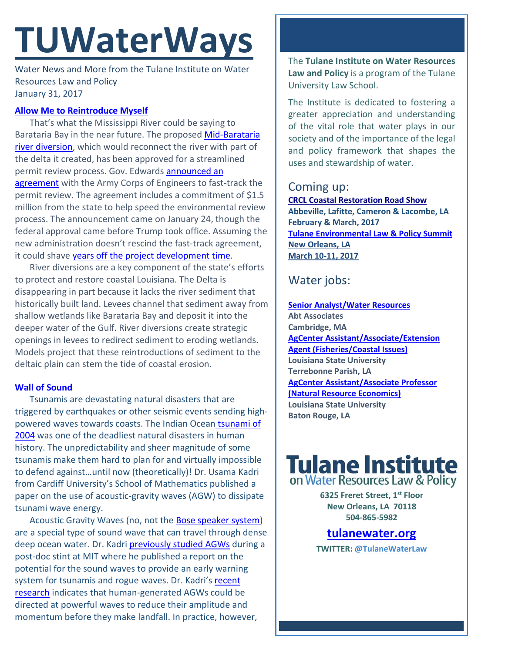# **TUWaterWays**

Water News and More from the Tulane Institute on Water Resources Law and Policy January 31, 2017

### **[Allow Me to Reintroduce Myself](https://www.youtube.com/watch?v=lw8i70TLq6Y)**

That's what the Mississippi River could be saying to Barataria Bay in the near future. The propose[d Mid-Barataria](http://cims.coastal.louisiana.gov/outreach/ProjectView.aspx?projID=BA-0153)  [river diversion,](http://cims.coastal.louisiana.gov/outreach/ProjectView.aspx?projID=BA-0153) which would reconnect the river with part of the delta it created, has been approved for a streamlined permit review process. Gov. Edwards [announced an](http://gov.louisiana.gov/news/gov-edwards-request-granted-midbarataria-sediment-diversion-identified-for-permit-prioritization-and-streamlining)  [agreement](http://gov.louisiana.gov/news/gov-edwards-request-granted-midbarataria-sediment-diversion-identified-for-permit-prioritization-and-streamlining) with the Army Corps of Engineers to fast-track the permit review. The agreement includes a commitment of \$1.5 million from the state to help speed the environmental review process. The announcement came on January 24, though the federal approval came before Trump took office. Assuming the new administration doesn't rescind the fast-track agreement, it could shave [years off the project development time.](http://www.nola.com/environment/index.ssf/2017/01/mid-baratara_sediment_diversio.html)

River diversions are a key component of the state's efforts to protect and restore coastal Louisiana. The Delta is disappearing in part because it lacks the river sediment that historically built land. Levees channel that sediment away from shallow wetlands like Barataria Bay and deposit it into the deeper water of the Gulf. River diversions create strategic openings in levees to redirect sediment to eroding wetlands. Models project that these reintroductions of sediment to the deltaic plain can stem the tide of coastal erosion.

#### **[Wall of Sound](https://www.youtube.com/watch?v=nXNLZyS01rY)**

Tsunamis are devastating natural disasters that are triggered by earthquakes or other seismic events sending highpowered waves towards coasts. The Indian Ocean [tsunami of](https://en.wikipedia.org/wiki/2004_Indian_Ocean_earthquake_and_tsunami)  [2004](https://en.wikipedia.org/wiki/2004_Indian_Ocean_earthquake_and_tsunami) was one of the deadliest natural disasters in human history. The unpredictability and sheer magnitude of some tsunamis make them hard to plan for and virtually impossible to defend against…until now (theoretically)! Dr. Usama Kadri from Cardiff University's School of Mathematics published a paper on the use of acoustic-gravity waves (AGW) to dissipate tsunami wave energy.

Acoustic Gravity Waves (no, not the [Bose speaker system\)](http://motherboard.vice.com/read/the-story-of-the-bose-wave-the-stereo-system-built-for-the-infomercial-era) are a special type of sound wave that can travel through dense deep ocean water. Dr. Kadri [previously studied AGWs](http://newatlas.com/acoustic-gravity-waves-tsunami-early-warning/35991/) during a post-doc stint at MIT where he published a report on the potential for the sound waves to provide an early warning system for tsunamis and rogue waves. Dr. Kadri's recent [research](http://www.upi.com/Science_News/2017/01/25/Can-underwater-sonar-canons-stop-a-tsunami-in-its-tracks/4971485367316/) indicates that human-generated AGWs could be directed at powerful waves to reduce their amplitude and momentum before they make landfall. In practice, however,

The **Tulane Institute on Water Resources Law and Policy** is a program of the Tulane University Law School.

The Institute is dedicated to fostering a greater appreciation and understanding of the vital role that water plays in our society and of the importance of the legal and policy framework that shapes the uses and stewardship of water.

# Coming up:

**[CRCL Coastal Restoration Road Show](http://www.crcl.org/programs/outreach-and-engagement/coastal-restoration-road-show.html) Abbeville, Lafitte, Cameron & Lacombe, LA February & March, 2017 [Tulane Environmental Law & Policy Summit](https://tulaneenvironmentallawsummit.com/) New Orleans, LA March 10-11, 2017** 

# Water jobs:

**[Senior Analyst/Water Resources](https://career4.successfactors.com/career?career_ns=job_listing&company=AbtPROD&navBarLevel=JOB_SEARCH&rcm_site_locale=en_US&career_job_req_id=41481&selected_lang=en_US&jobAlertController_jobAlertId=&jobAlertController_jobAlertName=&_s.crb=1QSYD9IZyGxNINYgF83LkGL0FPc%3D) Abt Associates Cambridge, MA [AgCenter Assistant/Associate/Extension](https://lsu.wd1.myworkdayjobs.com/en-US/LSU/job/0101-Terrebonne-Parish-Extension-Office/AgCenter-Assistant-Associate-Extension-Agent--Fisheries-Coastal-Issues-_R00007661-1)  [Agent \(Fisheries/Coastal Issues\)](https://lsu.wd1.myworkdayjobs.com/en-US/LSU/job/0101-Terrebonne-Parish-Extension-Office/AgCenter-Assistant-Associate-Extension-Agent--Fisheries-Coastal-Issues-_R00007661-1) Louisiana State University Terrebonne Parish, LA [AgCenter Assistant/Associate Professor](https://lsu.wd1.myworkdayjobs.com/en-US/LSU/job/0001-Martin-D-Woodin-Hall/AgCenter-Assistant-Associate-Professor--Natural-Resource-Economics-_R00007821)  [\(Natural Resource Economics\)](https://lsu.wd1.myworkdayjobs.com/en-US/LSU/job/0001-Martin-D-Woodin-Hall/AgCenter-Assistant-Associate-Professor--Natural-Resource-Economics-_R00007821) Louisiana State University Baton Rouge, LA**

# **Tulane Institute**<br>on Water Resources Law & Policy

**6325 Freret Street, 1st Floor New Orleans, LA 70118 504-865-5982** 

## **tulanewater.org**

**TWITTER: [@TulaneWaterLaw](http://www.twitter.com/TulaneWaterLaw)**